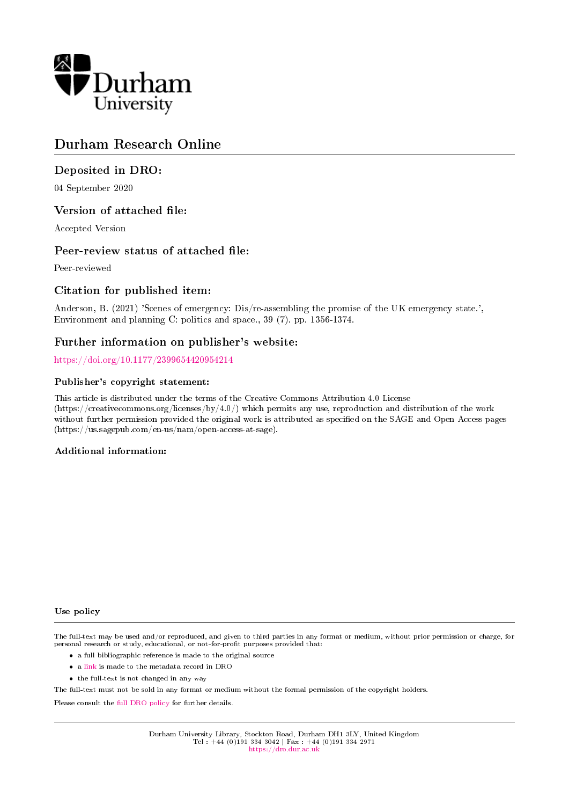

# Durham Research Online

### Deposited in DRO:

04 September 2020

### Version of attached file:

Accepted Version

### Peer-review status of attached file:

Peer-reviewed

### Citation for published item:

Anderson, B. (2021) 'Scenes of emergency: Dis/re-assembling the promise of the UK emergency state.', Environment and planning C: politics and space., 39 (7). pp. 1356-1374.

### Further information on publisher's website:

<https://doi.org/10.1177/2399654420954214>

#### Publisher's copyright statement:

This article is distributed under the terms of the Creative Commons Attribution 4.0 License (https://creativecommons.org/licenses/by/4.0/) which permits any use, reproduction and distribution of the work without further permission provided the original work is attributed as specified on the SAGE and Open Access pages (https://us.sagepub.com/en-us/nam/open-access-at-sage).

#### Additional information:

#### Use policy

The full-text may be used and/or reproduced, and given to third parties in any format or medium, without prior permission or charge, for personal research or study, educational, or not-for-profit purposes provided that:

- a full bibliographic reference is made to the original source
- a [link](http://dro.dur.ac.uk/31661/) is made to the metadata record in DRO
- the full-text is not changed in any way

The full-text must not be sold in any format or medium without the formal permission of the copyright holders.

Please consult the [full DRO policy](https://dro.dur.ac.uk/policies/usepolicy.pdf) for further details.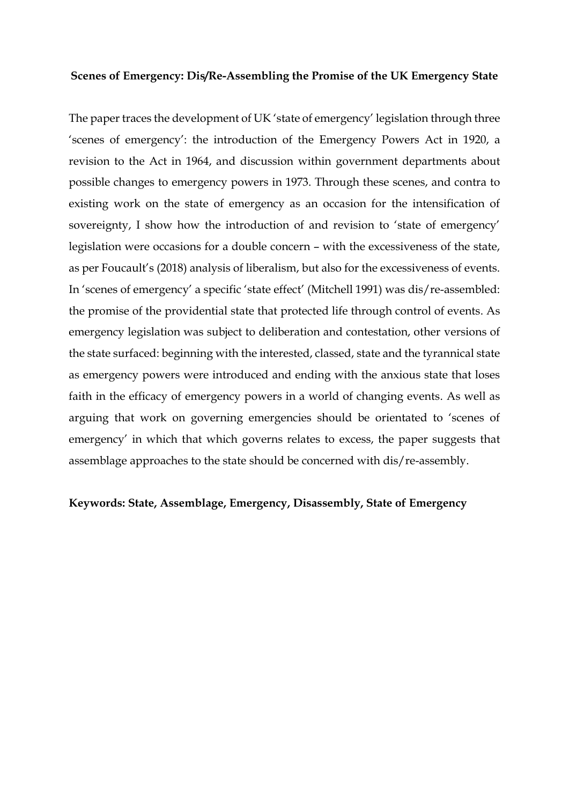#### **Scenes of Emergency: Dis/Re-Assembling the Promise of the UK Emergency State**

The paper traces the development of UK 'state of emergency' legislation through three 'scenes of emergency': the introduction of the Emergency Powers Act in 1920, a revision to the Act in 1964, and discussion within government departments about possible changes to emergency powers in 1973. Through these scenes, and contra to existing work on the state of emergency as an occasion for the intensification of sovereignty, I show how the introduction of and revision to 'state of emergency' legislation were occasions for a double concern – with the excessiveness of the state, as per Foucault's (2018) analysis of liberalism, but also for the excessiveness of events. In 'scenes of emergency' a specific 'state effect' (Mitchell 1991) was dis/re-assembled: the promise of the providential state that protected life through control of events. As emergency legislation was subject to deliberation and contestation, other versions of the state surfaced: beginning with the interested, classed, state and the tyrannical state as emergency powers were introduced and ending with the anxious state that loses faith in the efficacy of emergency powers in a world of changing events. As well as arguing that work on governing emergencies should be orientated to 'scenes of emergency' in which that which governs relates to excess, the paper suggests that assemblage approaches to the state should be concerned with dis/re-assembly.

### **Keywords: State, Assemblage, Emergency, Disassembly, State of Emergency**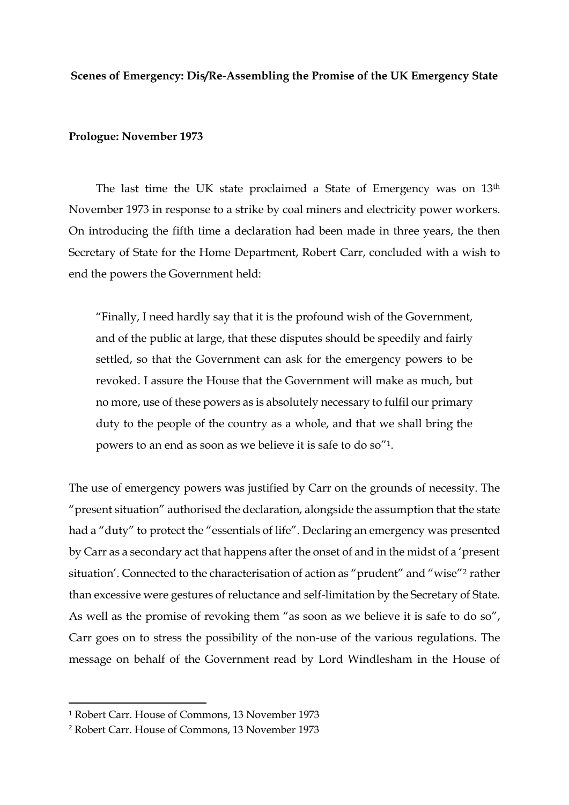### **Scenes of Emergency: Dis/Re-Assembling the Promise of the UK Emergency State**

#### **Prologue: November 1973**

The last time the UK state proclaimed a State of Emergency was on 13<sup>th</sup> November 1973 in response to a strike by coal miners and electricity power workers. On introducing the fifth time a declaration had been made in three years, the then Secretary of State for the Home Department, Robert Carr, concluded with a wish to end the powers the Government held:

"Finally, I need hardly say that it is the profound wish of the Government, and of the public at large, that these disputes should be speedily and fairly settled, so that the Government can ask for the emergency powers to be revoked. I assure the House that the Government will make as much, but no more, use of these powers as is absolutely necessary to fulfil our primary duty to the people of the country as a whole, and that we shall bring the powers to an end as soon as we believe it is safe to do so"1.

The use of emergency powers was justified by Carr on the grounds of necessity. The "present situation" authorised the declaration, alongside the assumption that the state had a "duty" to protect the "essentials of life". Declaring an emergency was presented by Carr as a secondary act that happens after the onset of and in the midst of a 'present situation'. Connected to the characterisation of action as "prudent" and "wise"<sup>2</sup> rather than excessive were gestures of reluctance and self-limitation by the Secretary of State. As well as the promise of revoking them "as soon as we believe it is safe to do so", Carr goes on to stress the possibility of the non-use of the various regulations. The message on behalf of the Government read by Lord Windlesham in the House of

1

<sup>1</sup> Robert Carr. House of Commons, 13 November 1973

<sup>2</sup> Robert Carr. House of Commons, 13 November 1973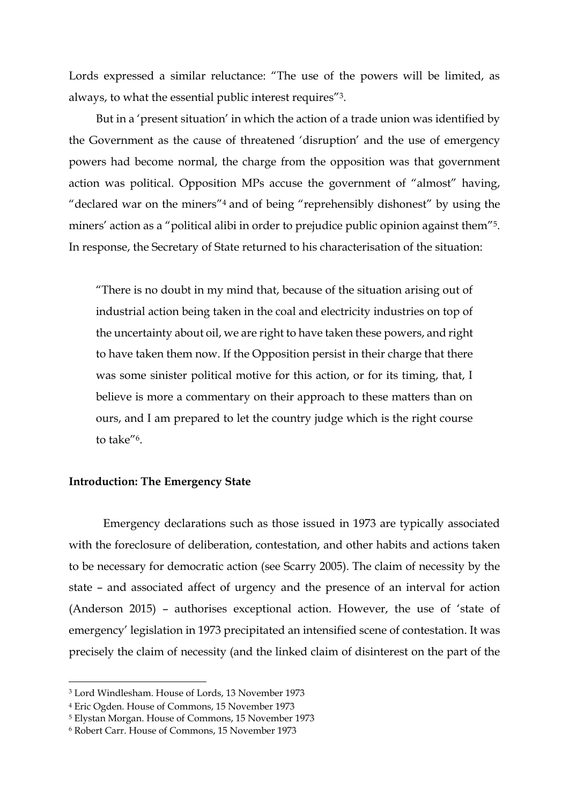Lords expressed a similar reluctance: "The use of the powers will be limited, as always, to what the essential public interest requires"3.

But in a 'present situation' in which the action of a trade union was identified by the Government as the cause of threatened 'disruption' and the use of emergency powers had become normal, the charge from the opposition was that government action was political. Opposition MPs accuse the government of "almost" having, "declared war on the miners"<sup>4</sup> and of being "reprehensibly dishonest" by using the miners' action as a "political alibi in order to prejudice public opinion against them"5. In response, the Secretary of State returned to his characterisation of the situation:

"There is no doubt in my mind that, because of the situation arising out of industrial action being taken in the coal and electricity industries on top of the uncertainty about oil, we are right to have taken these powers, and right to have taken them now. If the Opposition persist in their charge that there was some sinister political motive for this action, or for its timing, that, I believe is more a commentary on their approach to these matters than on ours, and I am prepared to let the country judge which is the right course to take"6.

### **Introduction: The Emergency State**

Emergency declarations such as those issued in 1973 are typically associated with the foreclosure of deliberation, contestation, and other habits and actions taken to be necessary for democratic action (see Scarry 2005). The claim of necessity by the state – and associated affect of urgency and the presence of an interval for action (Anderson 2015) – authorises exceptional action. However, the use of 'state of emergency' legislation in 1973 precipitated an intensified scene of contestation. It was precisely the claim of necessity (and the linked claim of disinterest on the part of the

**.** 

<sup>3</sup> Lord Windlesham. House of Lords, 13 November 1973

<sup>4</sup> Eric Ogden. House of Commons, 15 November 1973

<sup>5</sup> Elystan Morgan. House of Commons, 15 November 1973

<sup>6</sup> Robert Carr. House of Commons, 15 November 1973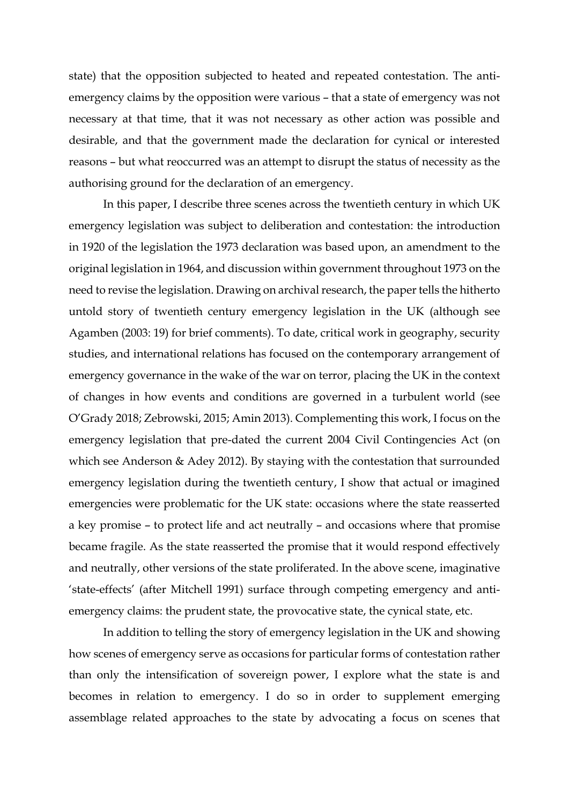state) that the opposition subjected to heated and repeated contestation. The antiemergency claims by the opposition were various – that a state of emergency was not necessary at that time, that it was not necessary as other action was possible and desirable, and that the government made the declaration for cynical or interested reasons – but what reoccurred was an attempt to disrupt the status of necessity as the authorising ground for the declaration of an emergency.

In this paper, I describe three scenes across the twentieth century in which UK emergency legislation was subject to deliberation and contestation: the introduction in 1920 of the legislation the 1973 declaration was based upon, an amendment to the original legislation in 1964, and discussion within government throughout 1973 on the need to revise the legislation. Drawing on archival research, the paper tells the hitherto untold story of twentieth century emergency legislation in the UK (although see Agamben (2003: 19) for brief comments). To date, critical work in geography, security studies, and international relations has focused on the contemporary arrangement of emergency governance in the wake of the war on terror, placing the UK in the context of changes in how events and conditions are governed in a turbulent world (see O'Grady 2018; Zebrowski, 2015; Amin 2013). Complementing this work, I focus on the emergency legislation that pre-dated the current 2004 Civil Contingencies Act (on which see Anderson & Adey 2012). By staying with the contestation that surrounded emergency legislation during the twentieth century, I show that actual or imagined emergencies were problematic for the UK state: occasions where the state reasserted a key promise – to protect life and act neutrally – and occasions where that promise became fragile. As the state reasserted the promise that it would respond effectively and neutrally, other versions of the state proliferated. In the above scene, imaginative 'state-effects' (after Mitchell 1991) surface through competing emergency and antiemergency claims: the prudent state, the provocative state, the cynical state, etc.

In addition to telling the story of emergency legislation in the UK and showing how scenes of emergency serve as occasions for particular forms of contestation rather than only the intensification of sovereign power, I explore what the state is and becomes in relation to emergency. I do so in order to supplement emerging assemblage related approaches to the state by advocating a focus on scenes that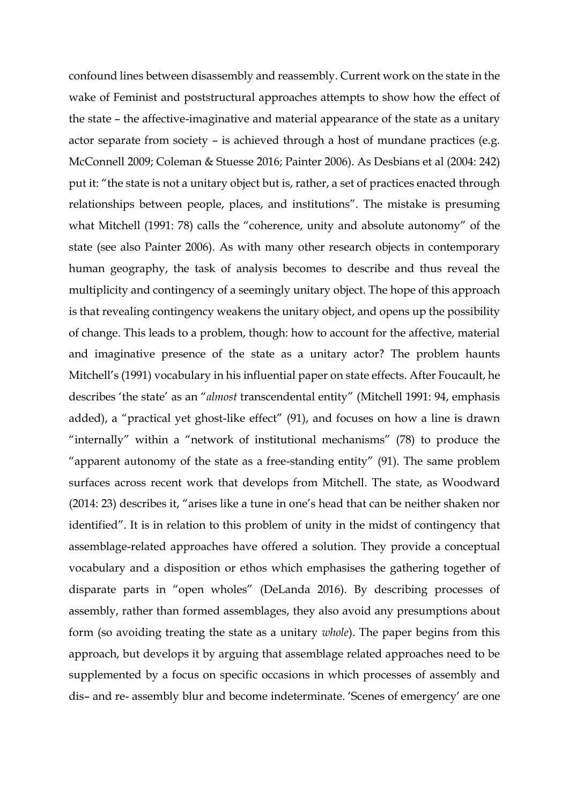confound lines between disassembly and reassembly. Current work on the state in the wake of Feminist and poststructural approaches attempts to show how the effect of the state – the affective-imaginative and material appearance of the state as a unitary actor separate from society – is achieved through a host of mundane practices (e.g. McConnell 2009; Coleman & Stuesse 2016; Painter 2006). As Desbians et al (2004: 242) put it: "the state is not a unitary object but is, rather, a set of practices enacted through relationships between people, places, and institutions". The mistake is presuming what Mitchell (1991: 78) calls the "coherence, unity and absolute autonomy" of the state (see also Painter 2006). As with many other research objects in contemporary human geography, the task of analysis becomes to describe and thus reveal the multiplicity and contingency of a seemingly unitary object. The hope of this approach is that revealing contingency weakens the unitary object, and opens up the possibility of change. This leads to a problem, though: how to account for the affective, material and imaginative presence of the state as a unitary actor? The problem haunts Mitchell's (1991) vocabulary in his influential paper on state effects. After Foucault, he describes 'the state' as an "*almost* transcendental entity" (Mitchell 1991: 94, emphasis added), a "practical yet ghost-like effect" (91), and focuses on how a line is drawn "internally" within a "network of institutional mechanisms" (78) to produce the "apparent autonomy of the state as a free-standing entity" (91). The same problem surfaces across recent work that develops from Mitchell. The state, as Woodward (2014: 23) describes it, "arises like a tune in one's head that can be neither shaken nor identified". It is in relation to this problem of unity in the midst of contingency that assemblage-related approaches have offered a solution. They provide a conceptual vocabulary and a disposition or ethos which emphasises the gathering together of disparate parts in "open wholes" (DeLanda 2016). By describing processes of assembly, rather than formed assemblages, they also avoid any presumptions about form (so avoiding treating the state as a unitary *whole*). The paper begins from this approach, but develops it by arguing that assemblage related approaches need to be supplemented by a focus on specific occasions in which processes of assembly and dis– and re- assembly blur and become indeterminate. 'Scenes of emergency' are one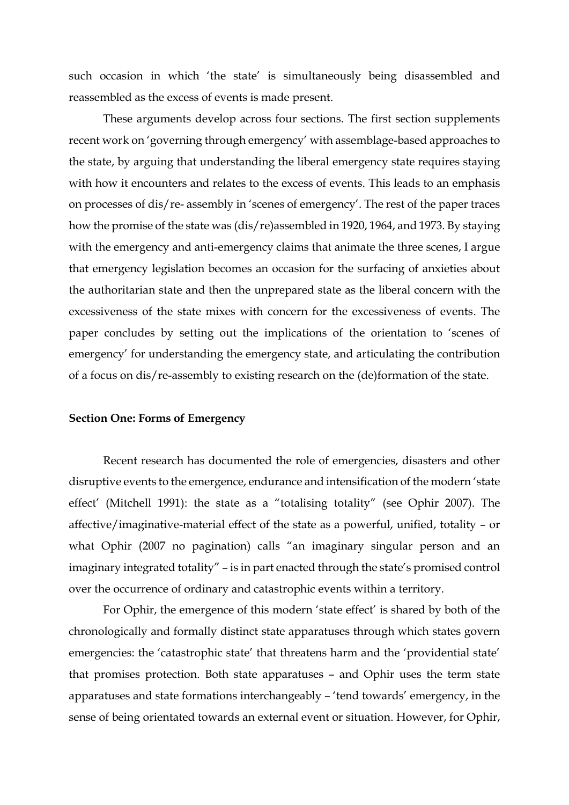such occasion in which 'the state' is simultaneously being disassembled and reassembled as the excess of events is made present.

These arguments develop across four sections. The first section supplements recent work on 'governing through emergency' with assemblage-based approaches to the state, by arguing that understanding the liberal emergency state requires staying with how it encounters and relates to the excess of events. This leads to an emphasis on processes of dis/re- assembly in 'scenes of emergency'. The rest of the paper traces how the promise of the state was (dis/re)assembled in 1920, 1964, and 1973. By staying with the emergency and anti-emergency claims that animate the three scenes, I argue that emergency legislation becomes an occasion for the surfacing of anxieties about the authoritarian state and then the unprepared state as the liberal concern with the excessiveness of the state mixes with concern for the excessiveness of events. The paper concludes by setting out the implications of the orientation to 'scenes of emergency' for understanding the emergency state, and articulating the contribution of a focus on dis/re-assembly to existing research on the (de)formation of the state.

#### **Section One: Forms of Emergency**

Recent research has documented the role of emergencies, disasters and other disruptive events to the emergence, endurance and intensification of the modern 'state effect' (Mitchell 1991): the state as a "totalising totality" (see Ophir 2007). The affective/imaginative-material effect of the state as a powerful, unified, totality – or what Ophir (2007 no pagination) calls "an imaginary singular person and an imaginary integrated totality" – is in part enacted through the state's promised control over the occurrence of ordinary and catastrophic events within a territory.

For Ophir, the emergence of this modern 'state effect' is shared by both of the chronologically and formally distinct state apparatuses through which states govern emergencies: the 'catastrophic state' that threatens harm and the 'providential state' that promises protection. Both state apparatuses – and Ophir uses the term state apparatuses and state formations interchangeably – 'tend towards' emergency, in the sense of being orientated towards an external event or situation. However, for Ophir,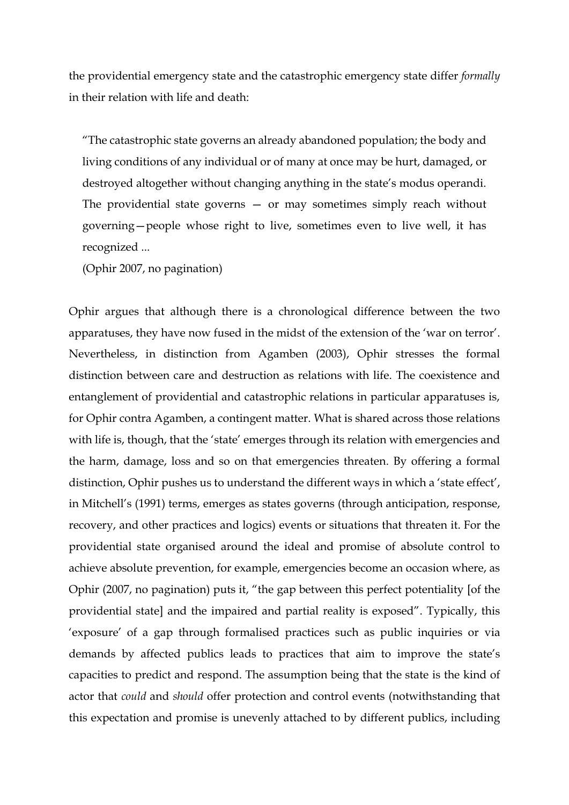the providential emergency state and the catastrophic emergency state differ *formally*  in their relation with life and death:

"The catastrophic state governs an already abandoned population; the body and living conditions of any individual or of many at once may be hurt, damaged, or destroyed altogether without changing anything in the state's modus operandi. The providential state governs  $-$  or may sometimes simply reach without governing—people whose right to live, sometimes even to live well, it has recognized ...

(Ophir 2007, no pagination)

Ophir argues that although there is a chronological difference between the two apparatuses, they have now fused in the midst of the extension of the 'war on terror'. Nevertheless, in distinction from Agamben (2003), Ophir stresses the formal distinction between care and destruction as relations with life. The coexistence and entanglement of providential and catastrophic relations in particular apparatuses is, for Ophir contra Agamben, a contingent matter. What is shared across those relations with life is, though, that the 'state' emerges through its relation with emergencies and the harm, damage, loss and so on that emergencies threaten. By offering a formal distinction, Ophir pushes us to understand the different ways in which a 'state effect', in Mitchell's (1991) terms, emerges as states governs (through anticipation, response, recovery, and other practices and logics) events or situations that threaten it. For the providential state organised around the ideal and promise of absolute control to achieve absolute prevention, for example, emergencies become an occasion where, as Ophir (2007, no pagination) puts it, "the gap between this perfect potentiality [of the providential state] and the impaired and partial reality is exposed". Typically, this 'exposure' of a gap through formalised practices such as public inquiries or via demands by affected publics leads to practices that aim to improve the state's capacities to predict and respond. The assumption being that the state is the kind of actor that *could* and *should* offer protection and control events (notwithstanding that this expectation and promise is unevenly attached to by different publics, including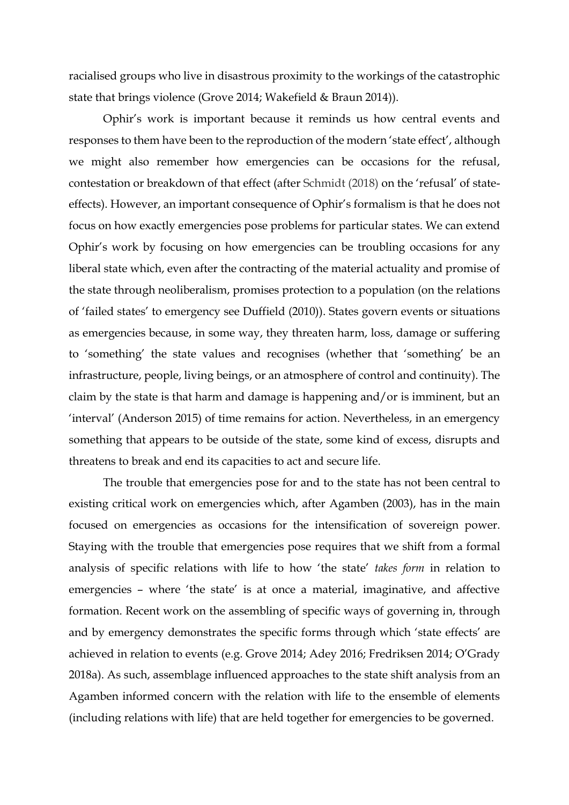racialised groups who live in disastrous proximity to the workings of the catastrophic state that brings violence (Grove 2014; Wakefield & Braun 2014)).

Ophir's work is important because it reminds us how central events and responses to them have been to the reproduction of the modern 'state effect', although we might also remember how emergencies can be occasions for the refusal, contestation or breakdown of that effect (after Schmidt (2018) on the 'refusal' of stateeffects). However, an important consequence of Ophir's formalism is that he does not focus on how exactly emergencies pose problems for particular states. We can extend Ophir's work by focusing on how emergencies can be troubling occasions for any liberal state which, even after the contracting of the material actuality and promise of the state through neoliberalism, promises protection to a population (on the relations of 'failed states' to emergency see Duffield (2010)). States govern events or situations as emergencies because, in some way, they threaten harm, loss, damage or suffering to 'something' the state values and recognises (whether that 'something' be an infrastructure, people, living beings, or an atmosphere of control and continuity). The claim by the state is that harm and damage is happening and/or is imminent, but an 'interval' (Anderson 2015) of time remains for action. Nevertheless, in an emergency something that appears to be outside of the state, some kind of excess, disrupts and threatens to break and end its capacities to act and secure life.

The trouble that emergencies pose for and to the state has not been central to existing critical work on emergencies which, after Agamben (2003), has in the main focused on emergencies as occasions for the intensification of sovereign power. Staying with the trouble that emergencies pose requires that we shift from a formal analysis of specific relations with life to how 'the state' *takes form* in relation to emergencies – where 'the state' is at once a material, imaginative, and affective formation. Recent work on the assembling of specific ways of governing in, through and by emergency demonstrates the specific forms through which 'state effects' are achieved in relation to events (e.g. Grove 2014; Adey 2016; Fredriksen 2014; O'Grady 2018a). As such, assemblage influenced approaches to the state shift analysis from an Agamben informed concern with the relation with life to the ensemble of elements (including relations with life) that are held together for emergencies to be governed.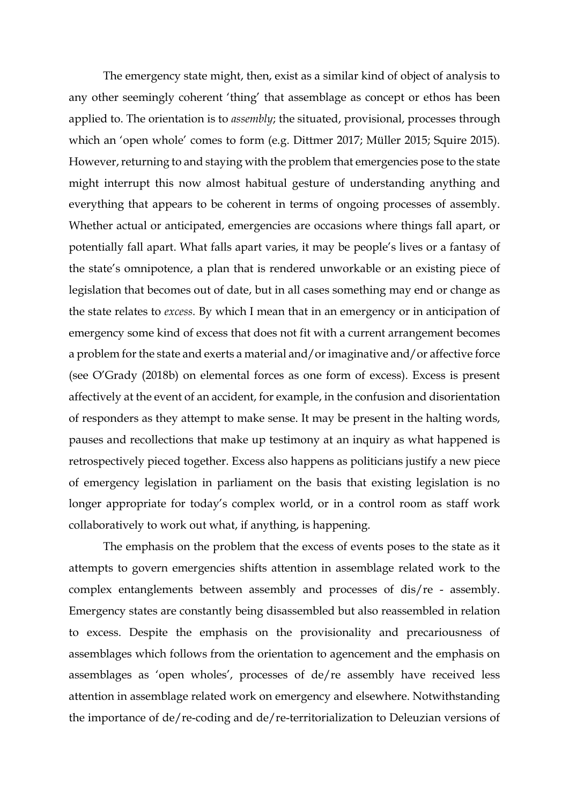The emergency state might, then, exist as a similar kind of object of analysis to any other seemingly coherent 'thing' that assemblage as concept or ethos has been applied to. The orientation is to *assembly*; the situated, provisional, processes through which an 'open whole' comes to form (e.g. Dittmer 2017; Müller 2015; Squire 2015). However, returning to and staying with the problem that emergencies pose to the state might interrupt this now almost habitual gesture of understanding anything and everything that appears to be coherent in terms of ongoing processes of assembly. Whether actual or anticipated, emergencies are occasions where things fall apart, or potentially fall apart. What falls apart varies, it may be people's lives or a fantasy of the state's omnipotence, a plan that is rendered unworkable or an existing piece of legislation that becomes out of date, but in all cases something may end or change as the state relates to *excess.* By which I mean that in an emergency or in anticipation of emergency some kind of excess that does not fit with a current arrangement becomes a problem for the state and exerts a material and/or imaginative and/or affective force (see O'Grady (2018b) on elemental forces as one form of excess). Excess is present affectively at the event of an accident, for example, in the confusion and disorientation of responders as they attempt to make sense. It may be present in the halting words, pauses and recollections that make up testimony at an inquiry as what happened is retrospectively pieced together. Excess also happens as politicians justify a new piece of emergency legislation in parliament on the basis that existing legislation is no longer appropriate for today's complex world, or in a control room as staff work collaboratively to work out what, if anything, is happening.

The emphasis on the problem that the excess of events poses to the state as it attempts to govern emergencies shifts attention in assemblage related work to the complex entanglements between assembly and processes of dis/re - assembly. Emergency states are constantly being disassembled but also reassembled in relation to excess. Despite the emphasis on the provisionality and precariousness of assemblages which follows from the orientation to agencement and the emphasis on assemblages as 'open wholes', processes of de/re assembly have received less attention in assemblage related work on emergency and elsewhere. Notwithstanding the importance of de/re-coding and de/re-territorialization to Deleuzian versions of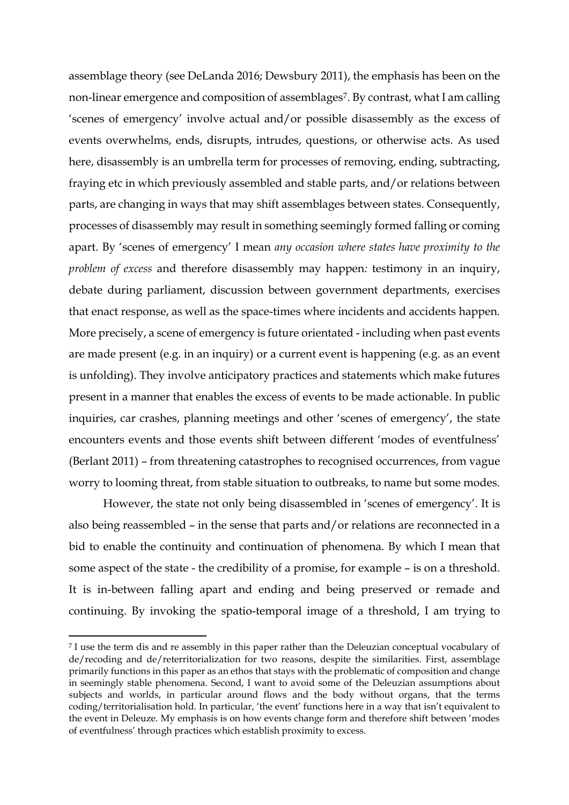assemblage theory (see DeLanda 2016; Dewsbury 2011), the emphasis has been on the non-linear emergence and composition of assemblages<sup>7</sup>. By contrast, what I am calling 'scenes of emergency' involve actual and/or possible disassembly as the excess of events overwhelms, ends, disrupts, intrudes, questions, or otherwise acts. As used here, disassembly is an umbrella term for processes of removing, ending, subtracting, fraying etc in which previously assembled and stable parts, and/or relations between parts, are changing in ways that may shift assemblages between states. Consequently, processes of disassembly may result in something seemingly formed falling or coming apart. By 'scenes of emergency' I mean *any occasion where states have proximity to the problem of excess* and therefore disassembly may happen*:* testimony in an inquiry, debate during parliament, discussion between government departments, exercises that enact response, as well as the space-times where incidents and accidents happen. More precisely, a scene of emergency is future orientated - including when past events are made present (e.g. in an inquiry) or a current event is happening (e.g. as an event is unfolding). They involve anticipatory practices and statements which make futures present in a manner that enables the excess of events to be made actionable. In public inquiries, car crashes, planning meetings and other 'scenes of emergency', the state encounters events and those events shift between different 'modes of eventfulness' (Berlant 2011) – from threatening catastrophes to recognised occurrences, from vague worry to looming threat, from stable situation to outbreaks, to name but some modes.

However, the state not only being disassembled in 'scenes of emergency'. It is also being reassembled – in the sense that parts and/or relations are reconnected in a bid to enable the continuity and continuation of phenomena. By which I mean that some aspect of the state - the credibility of a promise, for example – is on a threshold. It is in-between falling apart and ending and being preserved or remade and continuing. By invoking the spatio-temporal image of a threshold, I am trying to

1

<sup>7</sup> I use the term dis and re assembly in this paper rather than the Deleuzian conceptual vocabulary of de/recoding and de/reterritorialization for two reasons, despite the similarities. First, assemblage primarily functions in this paper as an ethos that stays with the problematic of composition and change in seemingly stable phenomena. Second, I want to avoid some of the Deleuzian assumptions about subjects and worlds, in particular around flows and the body without organs, that the terms coding/territorialisation hold. In particular, 'the event' functions here in a way that isn't equivalent to the event in Deleuze. My emphasis is on how events change form and therefore shift between 'modes of eventfulness' through practices which establish proximity to excess.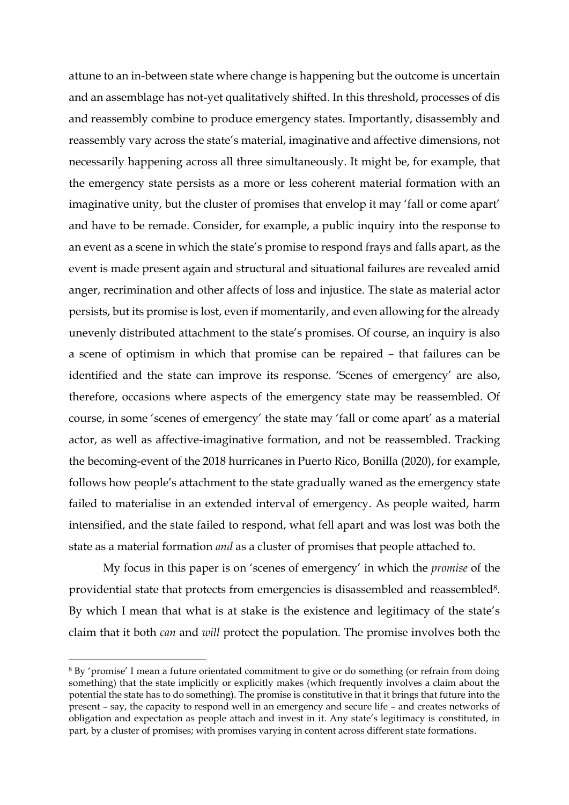attune to an in-between state where change is happening but the outcome is uncertain and an assemblage has not-yet qualitatively shifted. In this threshold, processes of dis and reassembly combine to produce emergency states. Importantly, disassembly and reassembly vary across the state's material, imaginative and affective dimensions, not necessarily happening across all three simultaneously. It might be, for example, that the emergency state persists as a more or less coherent material formation with an imaginative unity, but the cluster of promises that envelop it may 'fall or come apart' and have to be remade. Consider, for example, a public inquiry into the response to an event as a scene in which the state's promise to respond frays and falls apart, as the event is made present again and structural and situational failures are revealed amid anger, recrimination and other affects of loss and injustice. The state as material actor persists, but its promise is lost, even if momentarily, and even allowing for the already unevenly distributed attachment to the state's promises. Of course, an inquiry is also a scene of optimism in which that promise can be repaired – that failures can be identified and the state can improve its response. 'Scenes of emergency' are also, therefore, occasions where aspects of the emergency state may be reassembled. Of course, in some 'scenes of emergency' the state may 'fall or come apart' as a material actor, as well as affective-imaginative formation, and not be reassembled. Tracking the becoming-event of the 2018 hurricanes in Puerto Rico, Bonilla (2020), for example, follows how people's attachment to the state gradually waned as the emergency state failed to materialise in an extended interval of emergency. As people waited, harm intensified, and the state failed to respond, what fell apart and was lost was both the state as a material formation *and* as a cluster of promises that people attached to.

My focus in this paper is on 'scenes of emergency' in which the *promise* of the providential state that protects from emergencies is disassembled and reassembled<sup>8</sup>. By which I mean that what is at stake is the existence and legitimacy of the state's claim that it both *can* and *will* protect the population. The promise involves both the

**.** 

<sup>8</sup> By 'promise' I mean a future orientated commitment to give or do something (or refrain from doing something) that the state implicitly or explicitly makes (which frequently involves a claim about the potential the state has to do something). The promise is constitutive in that it brings that future into the present – say, the capacity to respond well in an emergency and secure life – and creates networks of obligation and expectation as people attach and invest in it. Any state's legitimacy is constituted, in part, by a cluster of promises; with promises varying in content across different state formations.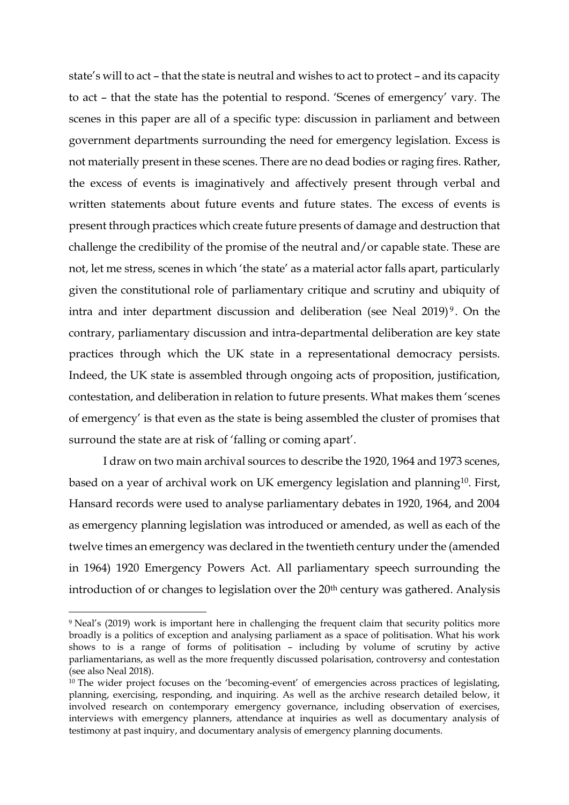state's will to act – that the state is neutral and wishes to act to protect – and its capacity to act – that the state has the potential to respond. 'Scenes of emergency' vary. The scenes in this paper are all of a specific type: discussion in parliament and between government departments surrounding the need for emergency legislation. Excess is not materially present in these scenes. There are no dead bodies or raging fires. Rather, the excess of events is imaginatively and affectively present through verbal and written statements about future events and future states. The excess of events is present through practices which create future presents of damage and destruction that challenge the credibility of the promise of the neutral and/or capable state. These are not, let me stress, scenes in which 'the state' as a material actor falls apart, particularly given the constitutional role of parliamentary critique and scrutiny and ubiquity of intra and inter department discussion and deliberation (see Neal 2019)<sup>9</sup>. On the contrary, parliamentary discussion and intra-departmental deliberation are key state practices through which the UK state in a representational democracy persists. Indeed, the UK state is assembled through ongoing acts of proposition, justification, contestation, and deliberation in relation to future presents. What makes them 'scenes of emergency' is that even as the state is being assembled the cluster of promises that surround the state are at risk of 'falling or coming apart'.

I draw on two main archival sources to describe the 1920, 1964 and 1973 scenes, based on a year of archival work on UK emergency legislation and planning10. First, Hansard records were used to analyse parliamentary debates in 1920, 1964, and 2004 as emergency planning legislation was introduced or amended, as well as each of the twelve times an emergency was declared in the twentieth century under the (amended in 1964) 1920 Emergency Powers Act. All parliamentary speech surrounding the introduction of or changes to legislation over the 20<sup>th</sup> century was gathered. Analysis

**.** 

<sup>9</sup> Neal's (2019) work is important here in challenging the frequent claim that security politics more broadly is a politics of exception and analysing parliament as a space of politisation. What his work shows to is a range of forms of politisation – including by volume of scrutiny by active parliamentarians, as well as the more frequently discussed polarisation, controversy and contestation (see also Neal 2018).

<sup>&</sup>lt;sup>10</sup> The wider project focuses on the 'becoming-event' of emergencies across practices of legislating, planning, exercising, responding, and inquiring. As well as the archive research detailed below, it involved research on contemporary emergency governance, including observation of exercises, interviews with emergency planners, attendance at inquiries as well as documentary analysis of testimony at past inquiry, and documentary analysis of emergency planning documents.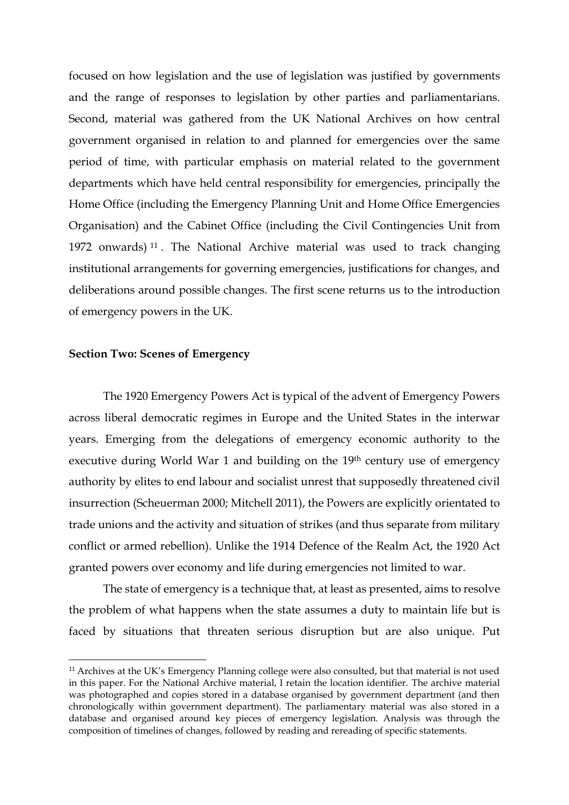focused on how legislation and the use of legislation was justified by governments and the range of responses to legislation by other parties and parliamentarians. Second, material was gathered from the UK National Archives on how central government organised in relation to and planned for emergencies over the same period of time, with particular emphasis on material related to the government departments which have held central responsibility for emergencies, principally the Home Office (including the Emergency Planning Unit and Home Office Emergencies Organisation) and the Cabinet Office (including the Civil Contingencies Unit from 1972 onwards) <sup>11</sup> . The National Archive material was used to track changing institutional arrangements for governing emergencies, justifications for changes, and deliberations around possible changes. The first scene returns us to the introduction of emergency powers in the UK.

#### **Section Two: Scenes of Emergency**

**.** 

The 1920 Emergency Powers Act is typical of the advent of Emergency Powers across liberal democratic regimes in Europe and the United States in the interwar years. Emerging from the delegations of emergency economic authority to the executive during World War 1 and building on the 19th century use of emergency authority by elites to end labour and socialist unrest that supposedly threatened civil insurrection (Scheuerman 2000; Mitchell 2011), the Powers are explicitly orientated to trade unions and the activity and situation of strikes (and thus separate from military conflict or armed rebellion). Unlike the 1914 Defence of the Realm Act, the 1920 Act granted powers over economy and life during emergencies not limited to war.

The state of emergency is a technique that, at least as presented, aims to resolve the problem of what happens when the state assumes a duty to maintain life but is faced by situations that threaten serious disruption but are also unique. Put

<sup>&</sup>lt;sup>11</sup> Archives at the UK's Emergency Planning college were also consulted, but that material is not used in this paper. For the National Archive material, I retain the location identifier. The archive material was photographed and copies stored in a database organised by government department (and then chronologically within government department). The parliamentary material was also stored in a database and organised around key pieces of emergency legislation. Analysis was through the composition of timelines of changes, followed by reading and rereading of specific statements.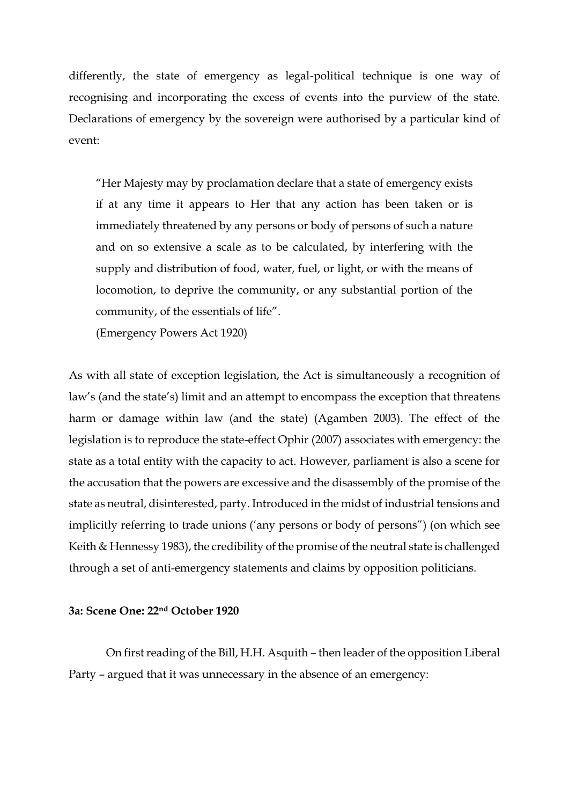differently, the state of emergency as legal-political technique is one way of recognising and incorporating the excess of events into the purview of the state. Declarations of emergency by the sovereign were authorised by a particular kind of event:

"Her Majesty may by proclamation declare that a state of emergency exists if at any time it appears to Her that any action has been taken or is immediately threatened by any persons or body of persons of such a nature and on so extensive a scale as to be calculated, by interfering with the supply and distribution of food, water, fuel, or light, or with the means of locomotion, to deprive the community, or any substantial portion of the community, of the essentials of life".

(Emergency Powers Act 1920)

As with all state of exception legislation, the Act is simultaneously a recognition of law's (and the state's) limit and an attempt to encompass the exception that threatens harm or damage within law (and the state) (Agamben 2003). The effect of the legislation is to reproduce the state-effect Ophir (2007) associates with emergency: the state as a total entity with the capacity to act. However, parliament is also a scene for the accusation that the powers are excessive and the disassembly of the promise of the state as neutral, disinterested, party. Introduced in the midst of industrial tensions and implicitly referring to trade unions ('any persons or body of persons") (on which see Keith & Hennessy 1983), the credibility of the promise of the neutral state is challenged through a set of anti-emergency statements and claims by opposition politicians.

#### **3a: Scene One: 22nd October 1920**

On first reading of the Bill, H.H. Asquith – then leader of the opposition Liberal Party – argued that it was unnecessary in the absence of an emergency: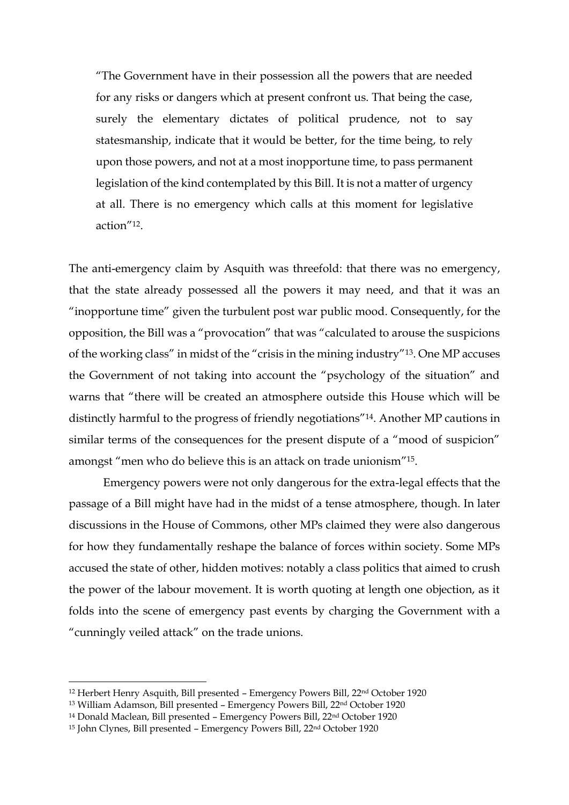"The Government have in their possession all the powers that are needed for any risks or dangers which at present confront us. That being the case, surely the elementary dictates of political prudence, not to say statesmanship, indicate that it would be better, for the time being, to rely upon those powers, and not at a most inopportune time, to pass permanent legislation of the kind contemplated by this Bill. It is not a matter of urgency at all. There is no emergency which calls at this moment for legislative action"12.

The anti-emergency claim by Asquith was threefold: that there was no emergency, that the state already possessed all the powers it may need, and that it was an "inopportune time" given the turbulent post war public mood. Consequently, for the opposition, the Bill was a "provocation" that was "calculated to arouse the suspicions of the working class" in midst of the "crisis in the mining industry"13. One MP accuses the Government of not taking into account the "psychology of the situation" and warns that "there will be created an atmosphere outside this House which will be distinctly harmful to the progress of friendly negotiations"14. Another MP cautions in similar terms of the consequences for the present dispute of a "mood of suspicion" amongst "men who do believe this is an attack on trade unionism"15.

Emergency powers were not only dangerous for the extra-legal effects that the passage of a Bill might have had in the midst of a tense atmosphere, though. In later discussions in the House of Commons, other MPs claimed they were also dangerous for how they fundamentally reshape the balance of forces within society. Some MPs accused the state of other, hidden motives: notably a class politics that aimed to crush the power of the labour movement. It is worth quoting at length one objection, as it folds into the scene of emergency past events by charging the Government with a "cunningly veiled attack" on the trade unions.

**.** 

<sup>12</sup> Herbert Henry Asquith, Bill presented – Emergency Powers Bill, 22nd October 1920

<sup>13</sup> William Adamson, Bill presented – Emergency Powers Bill, 22nd October 1920

<sup>14</sup> Donald Maclean, Bill presented – Emergency Powers Bill, 22nd October 1920

<sup>15</sup> John Clynes, Bill presented – Emergency Powers Bill, 22nd October 1920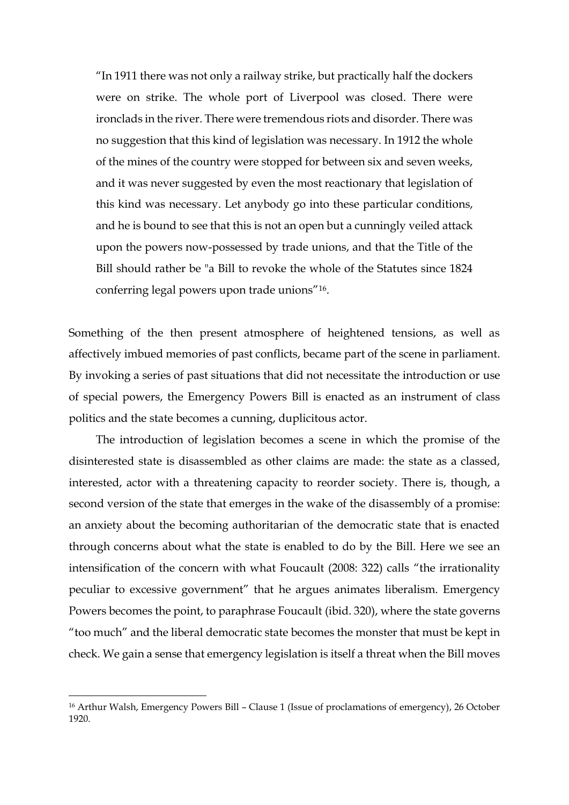"In 1911 there was not only a railway strike, but practically half the dockers were on strike. The whole port of Liverpool was closed. There were ironclads in the river. There were tremendous riots and disorder. There was no suggestion that this kind of legislation was necessary. In 1912 the whole of the mines of the country were stopped for between six and seven weeks, and it was never suggested by even the most reactionary that legislation of this kind was necessary. Let anybody go into these particular conditions, and he is bound to see that this is not an open but a cunningly veiled attack upon the powers now-possessed by trade unions, and that the Title of the Bill should rather be "a Bill to revoke the whole of the Statutes since 1824 conferring legal powers upon trade unions"16.

Something of the then present atmosphere of heightened tensions, as well as affectively imbued memories of past conflicts, became part of the scene in parliament. By invoking a series of past situations that did not necessitate the introduction or use of special powers, the Emergency Powers Bill is enacted as an instrument of class politics and the state becomes a cunning, duplicitous actor.

The introduction of legislation becomes a scene in which the promise of the disinterested state is disassembled as other claims are made: the state as a classed, interested, actor with a threatening capacity to reorder society. There is, though, a second version of the state that emerges in the wake of the disassembly of a promise: an anxiety about the becoming authoritarian of the democratic state that is enacted through concerns about what the state is enabled to do by the Bill. Here we see an intensification of the concern with what Foucault (2008: 322) calls "the irrationality peculiar to excessive government" that he argues animates liberalism. Emergency Powers becomes the point, to paraphrase Foucault (ibid. 320), where the state governs "too much" and the liberal democratic state becomes the monster that must be kept in check. We gain a sense that emergency legislation is itself a threat when the Bill moves

**.** 

<sup>16</sup> Arthur Walsh, Emergency Powers Bill – Clause 1 (Issue of proclamations of emergency), [26 October](http://hansard.millbanksystems.com/sittings/1920/oct/26)  [1920.](http://hansard.millbanksystems.com/sittings/1920/oct/26)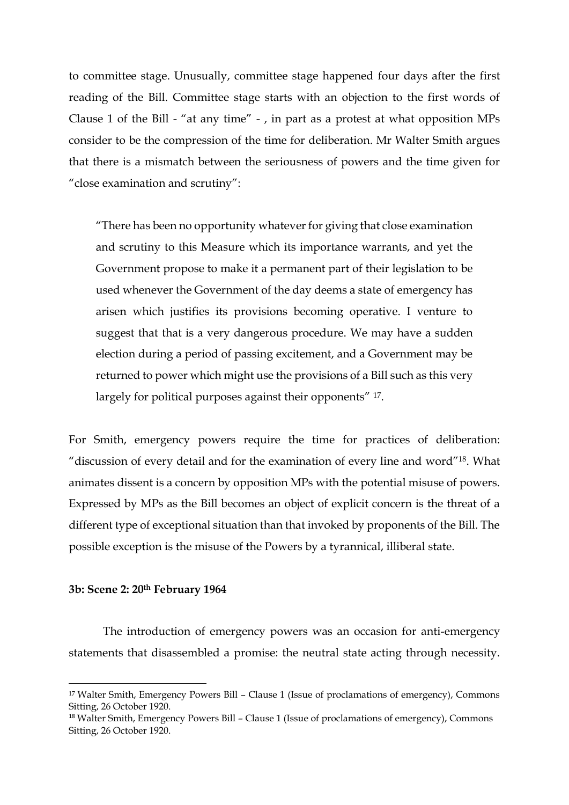to committee stage. Unusually, committee stage happened four days after the first reading of the Bill. Committee stage starts with an objection to the first words of Clause 1 of the Bill - "at any time" - , in part as a protest at what opposition MPs consider to be the compression of the time for deliberation. Mr Walter Smith argues that there is a mismatch between the seriousness of powers and the time given for "close examination and scrutiny":

"There has been no opportunity whatever for giving that close examination and scrutiny to this Measure which its importance warrants, and yet the Government propose to make it a permanent part of their legislation to be used whenever the Government of the day deems a state of emergency has arisen which justifies its provisions becoming operative. I venture to suggest that that is a very dangerous procedure. We may have a sudden election during a period of passing excitement, and a Government may be returned to power which might use the provisions of a Bill such as this very largely for political purposes against their opponents" <sup>17</sup>.

For Smith, emergency powers require the time for practices of deliberation: "discussion of every detail and for the examination of every line and word"18. What animates dissent is a concern by opposition MPs with the potential misuse of powers. Expressed by MPs as the Bill becomes an object of explicit concern is the threat of a different type of exceptional situation than that invoked by proponents of the Bill. The possible exception is the misuse of the Powers by a tyrannical, illiberal state.

#### **3b: Scene 2: 20th February 1964**

1

The introduction of emergency powers was an occasion for anti-emergency statements that disassembled a promise: the neutral state acting through necessity.

<sup>17</sup> Walter Smith, Emergency Powers Bill – Clause 1 (Issue of proclamations of emergency), Commons Sitting, [26 October 1920.](http://hansard.millbanksystems.com/sittings/1920/oct/26) 

<sup>&</sup>lt;sup>18</sup> Walter Smith, Emergency Powers Bill – Clause 1 (Issue of proclamations of emergency), Commons Sitting, [26 October 1920.](http://hansard.millbanksystems.com/sittings/1920/oct/26)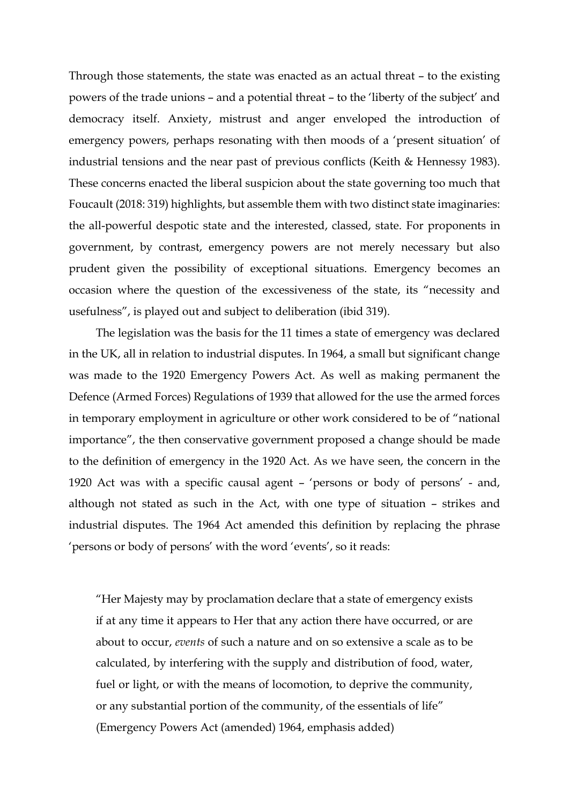Through those statements, the state was enacted as an actual threat – to the existing powers of the trade unions – and a potential threat – to the 'liberty of the subject' and democracy itself. Anxiety, mistrust and anger enveloped the introduction of emergency powers, perhaps resonating with then moods of a 'present situation' of industrial tensions and the near past of previous conflicts (Keith & Hennessy 1983). These concerns enacted the liberal suspicion about the state governing too much that Foucault (2018: 319) highlights, but assemble them with two distinct state imaginaries: the all-powerful despotic state and the interested, classed, state. For proponents in government, by contrast, emergency powers are not merely necessary but also prudent given the possibility of exceptional situations. Emergency becomes an occasion where the question of the excessiveness of the state, its "necessity and usefulness", is played out and subject to deliberation (ibid 319).

The legislation was the basis for the 11 times a state of emergency was declared in the UK, all in relation to industrial disputes. In 1964, a small but significant change was made to the 1920 Emergency Powers Act. As well as making permanent the Defence (Armed Forces) Regulations of 1939 that allowed for the use the armed forces in temporary employment in agriculture or other work considered to be of "national importance", the then conservative government proposed a change should be made to the definition of emergency in the 1920 Act. As we have seen, the concern in the 1920 Act was with a specific causal agent – 'persons or body of persons' - and, although not stated as such in the Act, with one type of situation – strikes and industrial disputes. The 1964 Act amended this definition by replacing the phrase 'persons or body of persons' with the word 'events', so it reads:

"Her Majesty may by proclamation declare that a state of emergency exists if at any time it appears to Her that any action there have occurred, or are about to occur, *events* of such a nature and on so extensive a scale as to be calculated, by interfering with the supply and distribution of food, water, fuel or light, or with the means of locomotion, to deprive the community, or any substantial portion of the community, of the essentials of life" (Emergency Powers Act (amended) 1964, emphasis added)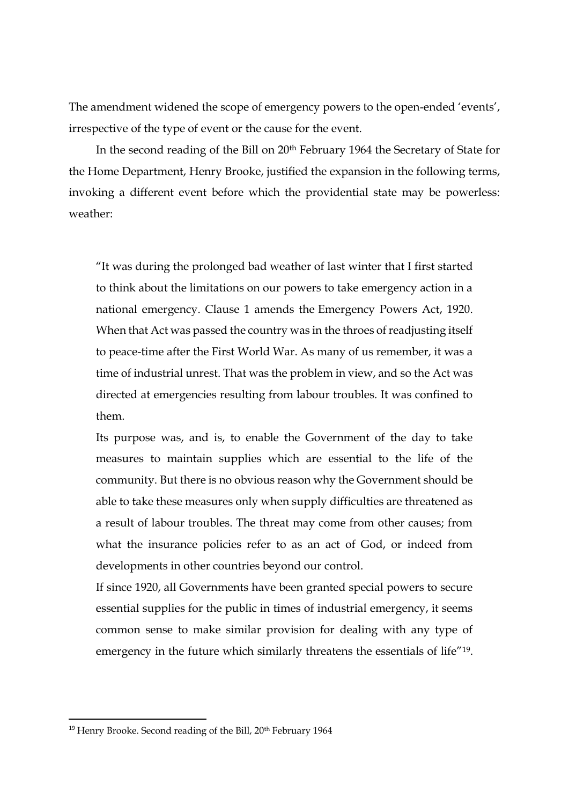The amendment widened the scope of emergency powers to the open-ended 'events', irrespective of the type of event or the cause for the event.

In the second reading of the Bill on 20th February 1964 the Secretary of State for the Home Department, Henry Brooke, justified the expansion in the following terms, invoking a different event before which the providential state may be powerless: weather:

"It was during the prolonged bad weather of last winter that I first started to think about the limitations on our powers to take emergency action in a national emergency. Clause 1 amends the [Emergency Powers Act, 1920.](http://hansard.millbanksystems.com/acts/emergency-powers-act-1920) When that Act was passed the country was in the throes of readjusting itself to peace-time after the First World War. As many of us remember, it was a time of industrial unrest. That was the problem in view, and so the Act was directed at emergencies resulting from labour troubles. It was confined to them.

Its purpose was, and is, to enable the Government of the day to take measures to maintain supplies which are essential to the life of the community. But there is no obvious reason why the Government should be able to take these measures only when supply difficulties are threatened as a result of labour troubles. The threat may come from other causes; from what the insurance policies refer to as an act of God, or indeed from developments in other countries beyond our control.

If since 1920, all Governments have been granted special powers to secure essential supplies for the public in times of industrial emergency, it seems common sense to make similar provision for dealing with any type of emergency in the future which similarly threatens the essentials of life"19.

1

<sup>&</sup>lt;sup>19</sup> Henry Brooke. Second reading of the Bill, 20<sup>th</sup> February 1964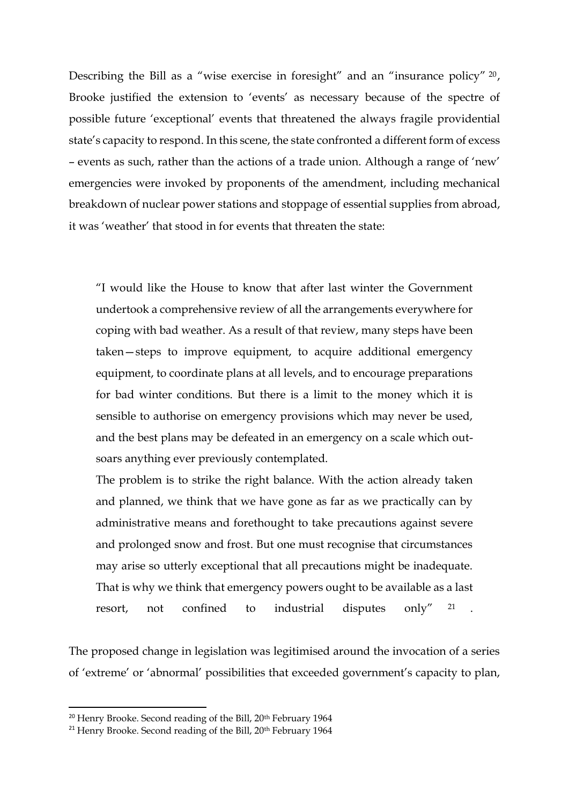Describing the Bill as a "wise exercise in foresight" and an "insurance policy" 20, Brooke justified the extension to 'events' as necessary because of the spectre of possible future 'exceptional' events that threatened the always fragile providential state's capacity to respond. In this scene, the state confronted a different form of excess – events as such, rather than the actions of a trade union. Although a range of 'new' emergencies were invoked by proponents of the amendment, including mechanical breakdown of nuclear power stations and stoppage of essential supplies from abroad, it was 'weather' that stood in for events that threaten the state:

"I would like the House to know that after last winter the Government undertook a comprehensive review of all the arrangements everywhere for coping with bad weather. As a result of that review, many steps have been taken—steps to improve equipment, to acquire additional emergency equipment, to coordinate plans at all levels, and to encourage preparations for bad winter conditions. But there is a limit to the money which it is sensible to authorise on emergency provisions which may never be used, and the best plans may be defeated in an emergency on a scale which outsoars anything ever previously contemplated.

The problem is to strike the right balance. With the action already taken and planned, we think that we have gone as far as we practically can by administrative means and forethought to take precautions against severe and prolonged snow and frost. But one must recognise that circumstances may arise so utterly exceptional that all precautions might be inadequate. That is why we think that emergency powers ought to be available as a last resort, not confined to industrial disputes only" <sup>21</sup>

The proposed change in legislation was legitimised around the invocation of a series of 'extreme' or 'abnormal' possibilities that exceeded government's capacity to plan,

<sup>&</sup>lt;sup>20</sup> Henry Brooke. Second reading of the Bill, 20<sup>th</sup> February 1964

<sup>&</sup>lt;sup>21</sup> Henry Brooke. Second reading of the Bill, 20<sup>th</sup> February 1964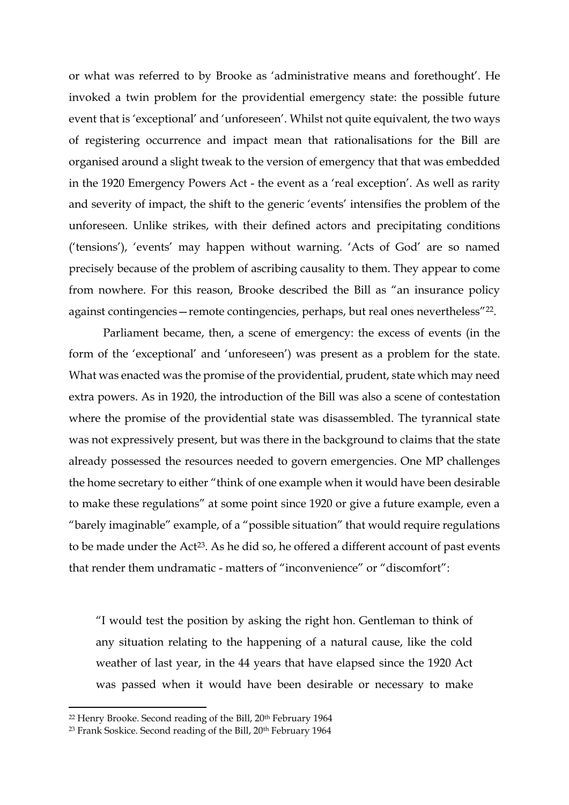or what was referred to by Brooke as 'administrative means and forethought'. He invoked a twin problem for the providential emergency state: the possible future event that is 'exceptional' and 'unforeseen'. Whilst not quite equivalent, the two ways of registering occurrence and impact mean that rationalisations for the Bill are organised around a slight tweak to the version of emergency that that was embedded in the 1920 Emergency Powers Act - the event as a 'real exception'. As well as rarity and severity of impact, the shift to the generic 'events' intensifies the problem of the unforeseen. Unlike strikes, with their defined actors and precipitating conditions ('tensions'), 'events' may happen without warning. 'Acts of God' are so named precisely because of the problem of ascribing causality to them. They appear to come from nowhere. For this reason, Brooke described the Bill as "an insurance policy against contingencies—remote contingencies, perhaps, but real ones nevertheless"22.

Parliament became, then, a scene of emergency: the excess of events (in the form of the 'exceptional' and 'unforeseen') was present as a problem for the state. What was enacted was the promise of the providential, prudent, state which may need extra powers. As in 1920, the introduction of the Bill was also a scene of contestation where the promise of the providential state was disassembled. The tyrannical state was not expressively present, but was there in the background to claims that the state already possessed the resources needed to govern emergencies. One MP challenges the home secretary to either "think of one example when it would have been desirable to make these regulations" at some point since 1920 or give a future example, even a "barely imaginable" example, of a "possible situation" that would require regulations to be made under the Act<sup>23</sup>. As he did so, he offered a different account of past events that render them undramatic - matters of "inconvenience" or "discomfort":

"I would test the position by asking the right hon. Gentleman to think of any situation relating to the happening of a natural cause, like the cold weather of last year, in the 44 years that have elapsed since the 1920 Act was passed when it would have been desirable or necessary to make

<sup>&</sup>lt;sup>22</sup> Henry Brooke. Second reading of the Bill, 20<sup>th</sup> February 1964

<sup>&</sup>lt;sup>23</sup> Frank Soskice. Second reading of the Bill, 20<sup>th</sup> February 1964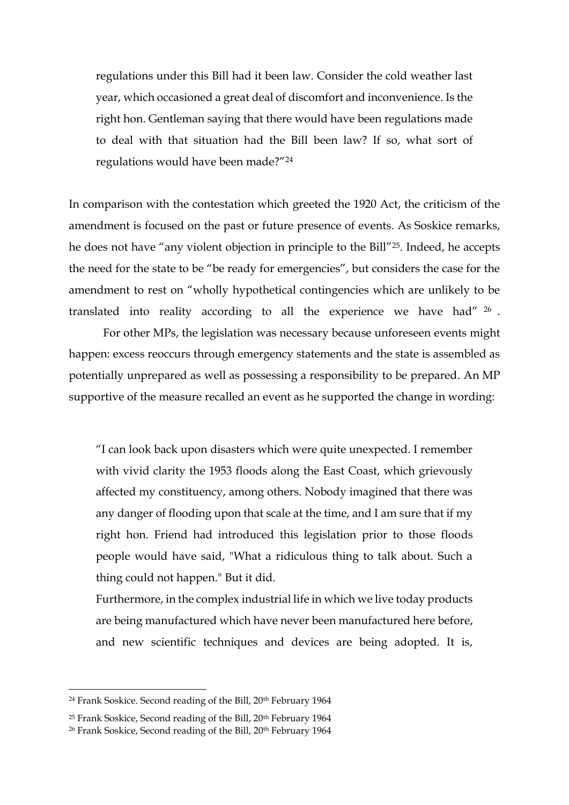regulations under this Bill had it been law. Consider the cold weather last year, which occasioned a great deal of discomfort and inconvenience. Is the right hon. Gentleman saying that there would have been regulations made to deal with that situation had the Bill been law? If so, what sort of regulations would have been made?"<sup>24</sup>

In comparison with the contestation which greeted the 1920 Act, the criticism of the amendment is focused on the past or future presence of events. As Soskice remarks, he does not have "any violent objection in principle to the Bill"25. Indeed, he accepts the need for the state to be "be ready for emergencies", but considers the case for the amendment to rest on "wholly hypothetical contingencies which are unlikely to be translated into reality according to all the experience we have had" <sup>26</sup> .

For other MPs, the legislation was necessary because unforeseen events might happen: excess reoccurs through emergency statements and the state is assembled as potentially unprepared as well as possessing a responsibility to be prepared. An MP supportive of the measure recalled an event as he supported the change in wording:

"I can look back upon disasters which were quite unexpected. I remember with vivid clarity the 1953 floods along the East Coast, which grievously affected my constituency, among others. Nobody imagined that there was any danger of flooding upon that scale at the time, and I am sure that if my right hon. Friend had introduced this legislation prior to those floods people would have said, "What a ridiculous thing to talk about. Such a thing could not happen." But it did.

Furthermore, in the complex industrial life in which we live today products are being manufactured which have never been manufactured here before, and new scientific techniques and devices are being adopted. It is,

<sup>&</sup>lt;sup>24</sup> Frank Soskice. Second reading of the Bill, 20<sup>th</sup> February 1964

<sup>&</sup>lt;sup>25</sup> Frank Soskice, Second reading of the Bill, 20<sup>th</sup> February 1964

<sup>&</sup>lt;sup>26</sup> Frank Soskice, Second reading of the Bill, 20<sup>th</sup> February 1964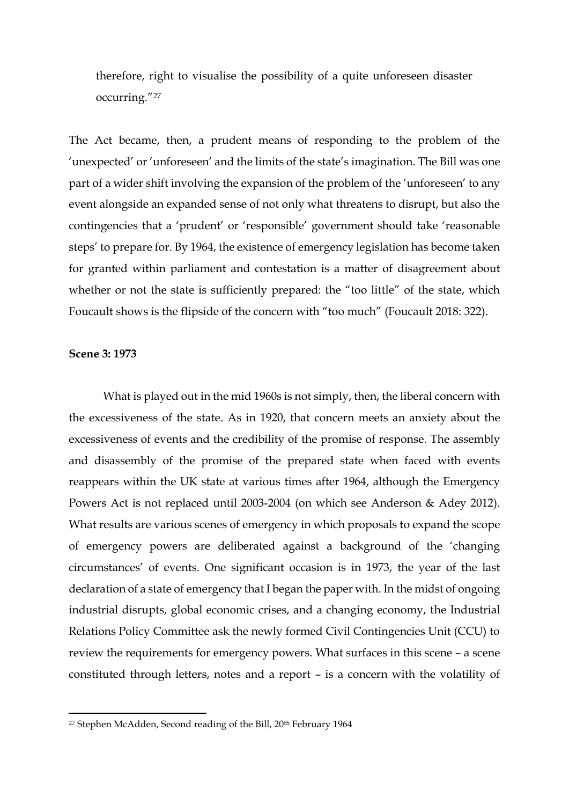therefore, right to visualise the possibility of a quite unforeseen disaster occurring."<sup>27</sup>

The Act became, then, a prudent means of responding to the problem of the 'unexpected' or 'unforeseen' and the limits of the state's imagination. The Bill was one part of a wider shift involving the expansion of the problem of the 'unforeseen' to any event alongside an expanded sense of not only what threatens to disrupt, but also the contingencies that a 'prudent' or 'responsible' government should take 'reasonable steps' to prepare for. By 1964, the existence of emergency legislation has become taken for granted within parliament and contestation is a matter of disagreement about whether or not the state is sufficiently prepared: the "too little" of the state, which Foucault shows is the flipside of the concern with "too much" (Foucault 2018: 322).

#### **Scene 3: 1973**

**.** 

What is played out in the mid 1960s is not simply, then, the liberal concern with the excessiveness of the state. As in 1920, that concern meets an anxiety about the excessiveness of events and the credibility of the promise of response. The assembly and disassembly of the promise of the prepared state when faced with events reappears within the UK state at various times after 1964, although the Emergency Powers Act is not replaced until 2003-2004 (on which see Anderson & Adey 2012). What results are various scenes of emergency in which proposals to expand the scope of emergency powers are deliberated against a background of the 'changing circumstances' of events. One significant occasion is in 1973, the year of the last declaration of a state of emergency that I began the paper with. In the midst of ongoing industrial disrupts, global economic crises, and a changing economy, the Industrial Relations Policy Committee ask the newly formed Civil Contingencies Unit (CCU) to review the requirements for emergency powers. What surfaces in this scene – a scene constituted through letters, notes and a report – is a concern with the volatility of

<sup>&</sup>lt;sup>27</sup> Stephen McAdden, Second reading of the Bill, 20<sup>th</sup> February 1964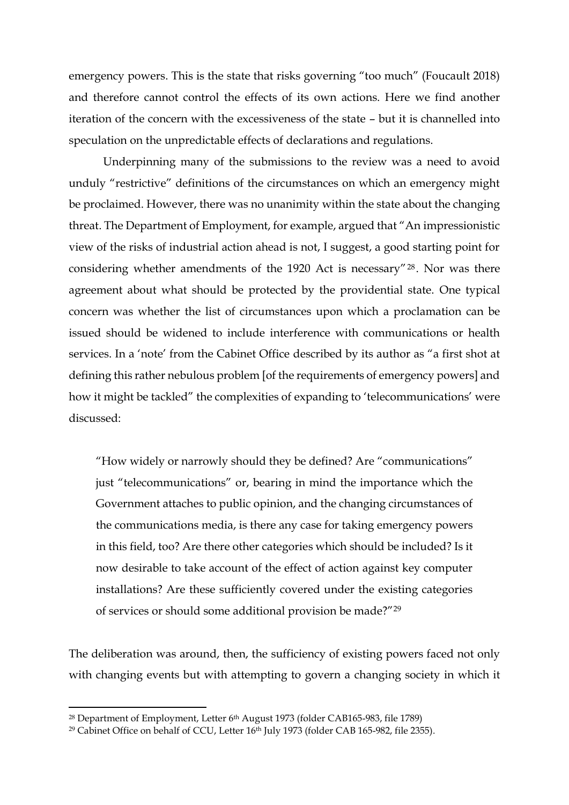emergency powers. This is the state that risks governing "too much" (Foucault 2018) and therefore cannot control the effects of its own actions. Here we find another iteration of the concern with the excessiveness of the state – but it is channelled into speculation on the unpredictable effects of declarations and regulations.

Underpinning many of the submissions to the review was a need to avoid unduly "restrictive" definitions of the circumstances on which an emergency might be proclaimed. However, there was no unanimity within the state about the changing threat. The Department of Employment, for example, argued that "An impressionistic view of the risks of industrial action ahead is not, I suggest, a good starting point for considering whether amendments of the 1920 Act is necessary"<sup>28</sup> . Nor was there agreement about what should be protected by the providential state. One typical concern was whether the list of circumstances upon which a proclamation can be issued should be widened to include interference with communications or health services. In a 'note' from the Cabinet Office described by its author as "a first shot at defining this rather nebulous problem [of the requirements of emergency powers] and how it might be tackled" the complexities of expanding to 'telecommunications' were discussed:

"How widely or narrowly should they be defined? Are "communications" just "telecommunications" or, bearing in mind the importance which the Government attaches to public opinion, and the changing circumstances of the communications media, is there any case for taking emergency powers in this field, too? Are there other categories which should be included? Is it now desirable to take account of the effect of action against key computer installations? Are these sufficiently covered under the existing categories of services or should some additional provision be made?"<sup>29</sup>

The deliberation was around, then, the sufficiency of existing powers faced not only with changing events but with attempting to govern a changing society in which it

<sup>&</sup>lt;sup>28</sup> Department of Employment, Letter 6<sup>th</sup> August 1973 (folder CAB165-983, file 1789)

<sup>&</sup>lt;sup>29</sup> Cabinet Office on behalf of CCU, Letter 16<sup>th</sup> July 1973 (folder CAB 165-982, file 2355).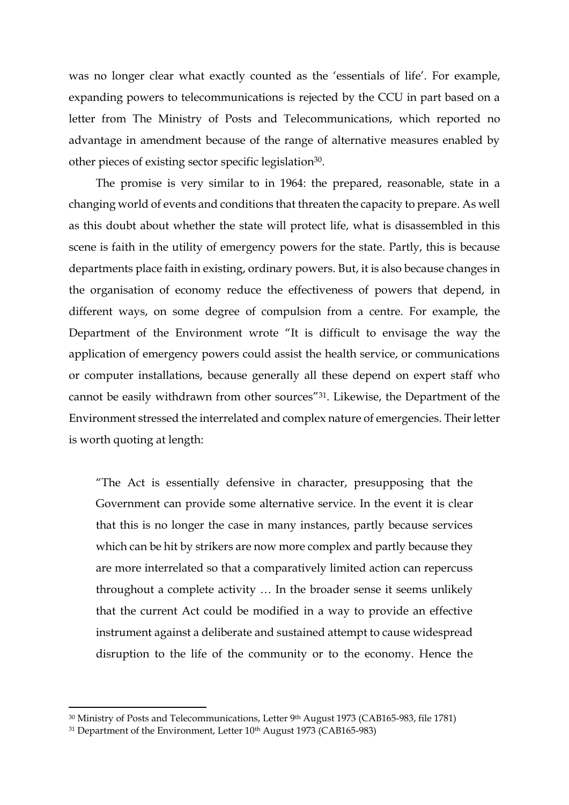was no longer clear what exactly counted as the 'essentials of life'. For example, expanding powers to telecommunications is rejected by the CCU in part based on a letter from The Ministry of Posts and Telecommunications, which reported no advantage in amendment because of the range of alternative measures enabled by other pieces of existing sector specific legislation<sup>30</sup>.

The promise is very similar to in 1964: the prepared, reasonable, state in a changing world of events and conditions that threaten the capacity to prepare. As well as this doubt about whether the state will protect life, what is disassembled in this scene is faith in the utility of emergency powers for the state. Partly, this is because departments place faith in existing, ordinary powers. But, it is also because changes in the organisation of economy reduce the effectiveness of powers that depend, in different ways, on some degree of compulsion from a centre. For example, the Department of the Environment wrote "It is difficult to envisage the way the application of emergency powers could assist the health service, or communications or computer installations, because generally all these depend on expert staff who cannot be easily withdrawn from other sources"31. Likewise, the Department of the Environment stressed the interrelated and complex nature of emergencies. Their letter is worth quoting at length:

"The Act is essentially defensive in character, presupposing that the Government can provide some alternative service. In the event it is clear that this is no longer the case in many instances, partly because services which can be hit by strikers are now more complex and partly because they are more interrelated so that a comparatively limited action can repercuss throughout a complete activity … In the broader sense it seems unlikely that the current Act could be modified in a way to provide an effective instrument against a deliberate and sustained attempt to cause widespread disruption to the life of the community or to the economy. Hence the

<sup>&</sup>lt;sup>30</sup> Ministry of Posts and Telecommunications, Letter 9<sup>th</sup> August 1973 (CAB165-983, file 1781)

 $31$  Department of the Environment, Letter  $10<sup>th</sup>$  August 1973 (CAB165-983)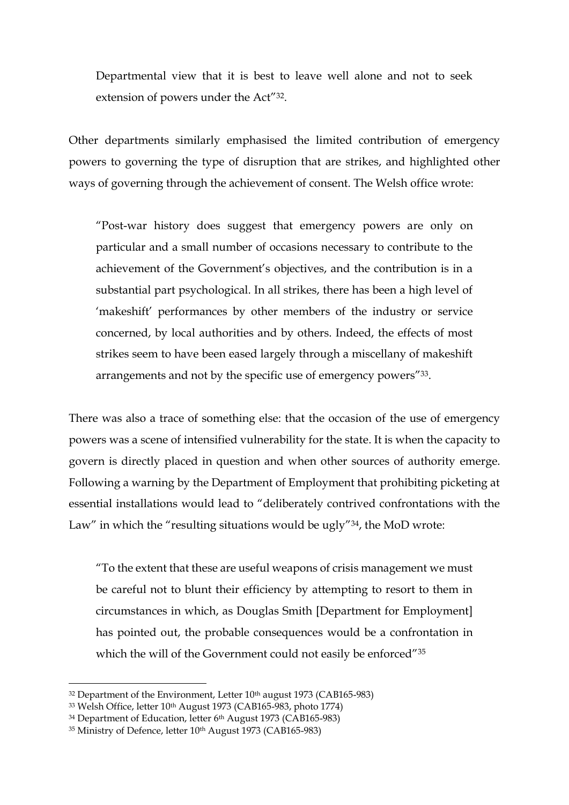Departmental view that it is best to leave well alone and not to seek extension of powers under the Act"32.

Other departments similarly emphasised the limited contribution of emergency powers to governing the type of disruption that are strikes, and highlighted other ways of governing through the achievement of consent. The Welsh office wrote:

"Post-war history does suggest that emergency powers are only on particular and a small number of occasions necessary to contribute to the achievement of the Government's objectives, and the contribution is in a substantial part psychological. In all strikes, there has been a high level of 'makeshift' performances by other members of the industry or service concerned, by local authorities and by others. Indeed, the effects of most strikes seem to have been eased largely through a miscellany of makeshift arrangements and not by the specific use of emergency powers"33.

There was also a trace of something else: that the occasion of the use of emergency powers was a scene of intensified vulnerability for the state. It is when the capacity to govern is directly placed in question and when other sources of authority emerge. Following a warning by the Department of Employment that prohibiting picketing at essential installations would lead to "deliberately contrived confrontations with the Law" in which the "resulting situations would be ugly"<sup>34</sup>, the MoD wrote:

"To the extent that these are useful weapons of crisis management we must be careful not to blunt their efficiency by attempting to resort to them in circumstances in which, as Douglas Smith [Department for Employment] has pointed out, the probable consequences would be a confrontation in which the will of the Government could not easily be enforced"<sup>35</sup>

1

<sup>&</sup>lt;sup>32</sup> Department of the Environment, Letter 10<sup>th</sup> august 1973 (CAB165-983)

<sup>33</sup> Welsh Office, letter 10th August 1973 (CAB165-983, photo 1774)

<sup>&</sup>lt;sup>34</sup> Department of Education, letter 6<sup>th</sup> August 1973 (CAB165-983)

<sup>35</sup> Ministry of Defence, letter 10th August 1973 (CAB165-983)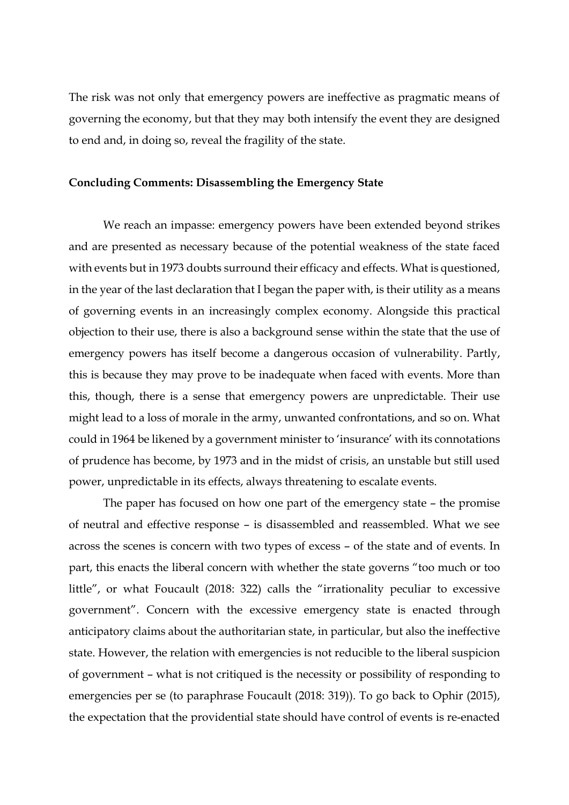The risk was not only that emergency powers are ineffective as pragmatic means of governing the economy, but that they may both intensify the event they are designed to end and, in doing so, reveal the fragility of the state.

### **Concluding Comments: Disassembling the Emergency State**

We reach an impasse: emergency powers have been extended beyond strikes and are presented as necessary because of the potential weakness of the state faced with events but in 1973 doubts surround their efficacy and effects. What is questioned, in the year of the last declaration that I began the paper with, is their utility as a means of governing events in an increasingly complex economy. Alongside this practical objection to their use, there is also a background sense within the state that the use of emergency powers has itself become a dangerous occasion of vulnerability. Partly, this is because they may prove to be inadequate when faced with events. More than this, though, there is a sense that emergency powers are unpredictable. Their use might lead to a loss of morale in the army, unwanted confrontations, and so on. What could in 1964 be likened by a government minister to 'insurance' with its connotations of prudence has become, by 1973 and in the midst of crisis, an unstable but still used power, unpredictable in its effects, always threatening to escalate events.

The paper has focused on how one part of the emergency state – the promise of neutral and effective response – is disassembled and reassembled. What we see across the scenes is concern with two types of excess – of the state and of events. In part, this enacts the liberal concern with whether the state governs "too much or too little", or what Foucault (2018: 322) calls the "irrationality peculiar to excessive government". Concern with the excessive emergency state is enacted through anticipatory claims about the authoritarian state, in particular, but also the ineffective state. However, the relation with emergencies is not reducible to the liberal suspicion of government – what is not critiqued is the necessity or possibility of responding to emergencies per se (to paraphrase Foucault (2018: 319)). To go back to Ophir (2015), the expectation that the providential state should have control of events is re-enacted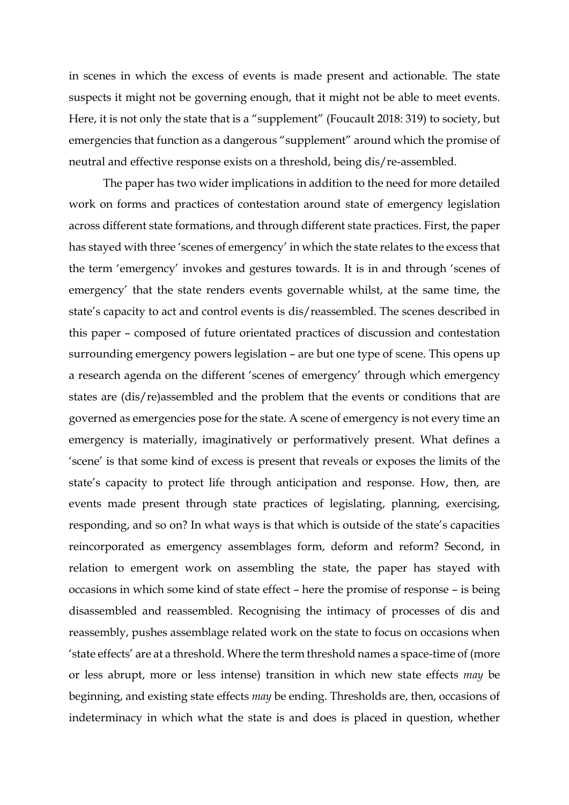in scenes in which the excess of events is made present and actionable. The state suspects it might not be governing enough, that it might not be able to meet events. Here, it is not only the state that is a "supplement" (Foucault 2018: 319) to society, but emergencies that function as a dangerous "supplement" around which the promise of neutral and effective response exists on a threshold, being dis/re-assembled.

The paper has two wider implications in addition to the need for more detailed work on forms and practices of contestation around state of emergency legislation across different state formations, and through different state practices. First, the paper has stayed with three 'scenes of emergency' in which the state relates to the excess that the term 'emergency' invokes and gestures towards. It is in and through 'scenes of emergency' that the state renders events governable whilst, at the same time, the state's capacity to act and control events is dis/reassembled. The scenes described in this paper – composed of future orientated practices of discussion and contestation surrounding emergency powers legislation – are but one type of scene. This opens up a research agenda on the different 'scenes of emergency' through which emergency states are (dis/re)assembled and the problem that the events or conditions that are governed as emergencies pose for the state. A scene of emergency is not every time an emergency is materially, imaginatively or performatively present. What defines a 'scene' is that some kind of excess is present that reveals or exposes the limits of the state's capacity to protect life through anticipation and response. How, then, are events made present through state practices of legislating, planning, exercising, responding, and so on? In what ways is that which is outside of the state's capacities reincorporated as emergency assemblages form, deform and reform? Second, in relation to emergent work on assembling the state, the paper has stayed with occasions in which some kind of state effect – here the promise of response – is being disassembled and reassembled. Recognising the intimacy of processes of dis and reassembly, pushes assemblage related work on the state to focus on occasions when 'state effects' are at a threshold. Where the term threshold names a space-time of (more or less abrupt, more or less intense) transition in which new state effects *may* be beginning, and existing state effects *may* be ending. Thresholds are, then, occasions of indeterminacy in which what the state is and does is placed in question, whether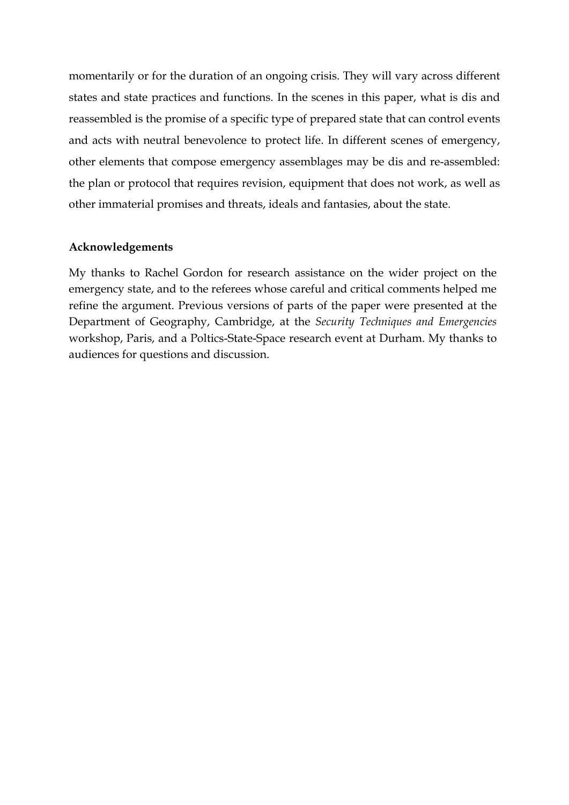momentarily or for the duration of an ongoing crisis. They will vary across different states and state practices and functions. In the scenes in this paper, what is dis and reassembled is the promise of a specific type of prepared state that can control events and acts with neutral benevolence to protect life. In different scenes of emergency, other elements that compose emergency assemblages may be dis and re-assembled: the plan or protocol that requires revision, equipment that does not work, as well as other immaterial promises and threats, ideals and fantasies, about the state.

### **Acknowledgements**

My thanks to Rachel Gordon for research assistance on the wider project on the emergency state, and to the referees whose careful and critical comments helped me refine the argument. Previous versions of parts of the paper were presented at the Department of Geography, Cambridge, at the *Security Techniques and Emergencies* workshop, Paris, and a Poltics-State-Space research event at Durham. My thanks to audiences for questions and discussion.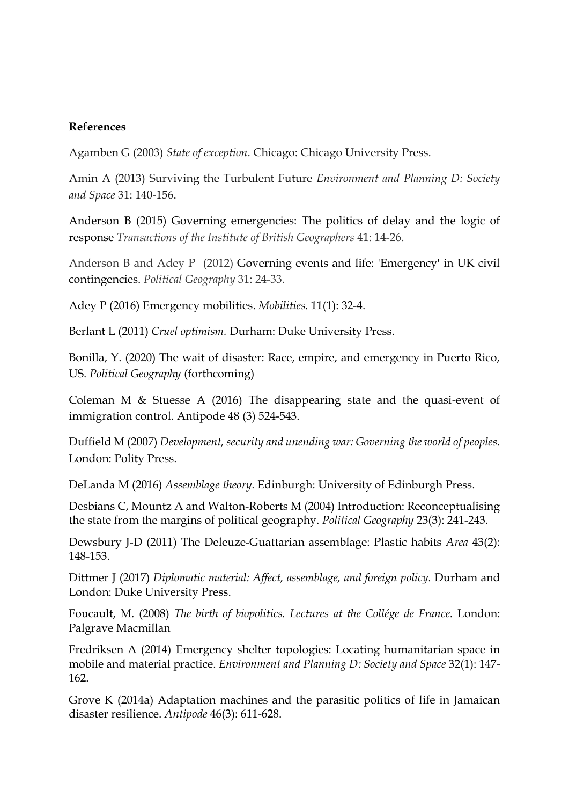## **References**

Agamben G (2003) *State of exception*. Chicago: Chicago University Press.

Amin A (2013) Surviving the Turbulent Future *Environment and Planning D: Society and Space* 31: 140-156.

Anderson B (2015) [Governing emergencies: The politics of delay and the logic of](https://www.dur.ac.uk/geography/staff/geogstaffhidden/?mode=pdetail&id=985&sid=985&pdetail=98951)  [response](https://www.dur.ac.uk/geography/staff/geogstaffhidden/?mode=pdetail&id=985&sid=985&pdetail=98951) *Transactions of the Institute of British Geographers* 41: 14-26.

Anderson B and Adey P (2012) [Governing events and life: 'Emergency' in UK civil](https://www.dur.ac.uk/geography/staff/geogstaffhidden/?mode=pdetail&id=985&sid=985&pdetail=75862)  [contingencies.](https://www.dur.ac.uk/geography/staff/geogstaffhidden/?mode=pdetail&id=985&sid=985&pdetail=75862) *Political Geography* 31: 24-33.

Adey P (2016) Emergency mobilities. *Mobilities.* 11(1): 32-4.

Berlant L (2011) *Cruel optimism.* Durham: Duke University Press.

Bonilla, Y. (2020) The wait of disaster: Race, empire, and emergency in Puerto Rico, US. *Political Geography* (forthcoming)

Coleman M & Stuesse A (2016) The disappearing state and the quasi-event of immigration control. Antipode 48 (3) 524-543.

Duffield M (2007) *Development, security and unending war: Governing the world of peoples*. London: Polity Press.

DeLanda M (2016) *Assemblage theory.* Edinburgh: University of Edinburgh Press.

Desbians C, Mountz A and Walton-Roberts M (2004) Introduction: Reconceptualising the state from the margins of political geography. *Political Geography* 23(3): 241-243.

Dewsbury J-D (2011) The Deleuze-Guattarian assemblage: Plastic habits *Area* 43(2): 148-153.

Dittmer J (2017) *Diplomatic material: Affect, assemblage, and foreign policy.* Durham and London: Duke University Press.

Foucault, M. (2008) *The birth of biopolitics. Lectures at the Collége de France.* London: Palgrave Macmillan

Fredriksen A (2014) Emergency shelter topologies: Locating humanitarian space in mobile and material practice. *Environment and Planning D: Society and Space* 32(1): 147- 162.

Grove K (2014a) Adaptation machines and the parasitic politics of life in Jamaican disaster resilience. *Antipode* 46(3): 611-628.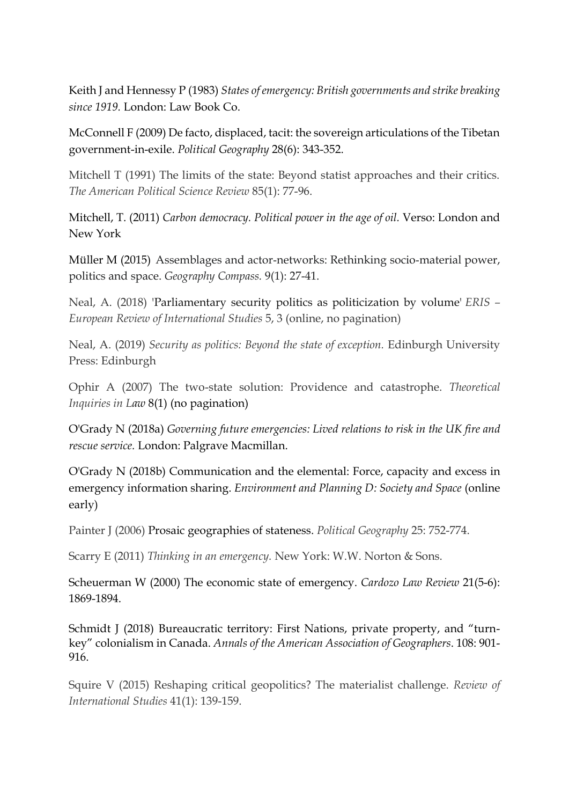Keith J and Hennessy P (1983) *States of emergency: British governments and strike breaking since 1919.* London: Law Book Co.

McConnell F (2009) [De facto, displaced, tacit: the sovereign articulations of the Tibetan](http://dx.doi.org/10.1016/j.polgeo.2009.04.001)  [government-in-exile.](http://dx.doi.org/10.1016/j.polgeo.2009.04.001) *Political Geography* 28(6): 343-352.

Mitchell T (1991) The limits of the state: Beyond statist approaches and their critics. *The American Political Science Review* 85(1): 77-96.

Mitchell, T. (2011) *Carbon democracy. Political power in the age of oil.* Verso: London and New York

Müller M (2015) Assemblages and actor‐networks: Rethinking socio‐material power, politics and space. *Geography Compass.* 9(1): 27-41.

Neal, A. (2018) ['Parliamentary security politics as politicization by volume'](https://budrich-journals.de/index.php/eris/article/view/32868) *ERIS – European Review of International Studies* 5, 3 (online, no pagination)

Neal, A. (2019) *Security as politics: Beyond the state of exception.* Edinburgh University Press: Edinburgh

Ophir A (2007) The two-state solution: Providence and catastrophe. *Theoretical Inquiries in Law* 8(1) (no pagination)

O'Grady N (2018a) *Governing future [emergencies:](http://eprints.uwe.ac.uk/37013) Lived relations to risk in the UK fire and rescue [service.](http://eprints.uwe.ac.uk/37013)* London: Palgrave Macmillan.

O'Grady N (2018b) [Communication](http://eprints.uwe.ac.uk/37284) and the elemental: Force, capacity and excess in emergency [information](http://eprints.uwe.ac.uk/37284) sharing. *Environment and Planning D: Society and Space* (online early)

Painter J (2006) [Prosaic geographies of stateness.](https://www.dur.ac.uk/geography/staff/geogstaffhidden/?mode=pdetail&id=353&sid=353&pdetail=39435) *Political Geography* 25: 752-774.

Scarry E (2011) *Thinking in an emergency.* New York: W.W. Norton & Sons.

Scheuerman W (2000) The economic state of emergency. *Cardozo Law Review* 21(5-6): 1869-1894.

Schmidt J (2018) [Bureaucratic territory: First Nations, private property, and "turn](https://www.dur.ac.uk/geography/staff/geogstaffhidden/?mode=pdetail&id=15809&sid=15809&pdetail=111746)[key" colonialism in Canada](https://www.dur.ac.uk/geography/staff/geogstaffhidden/?mode=pdetail&id=15809&sid=15809&pdetail=111746). *Annals of the American Association of Geographers*. 108: 901- 916.

Squire V (2015) Reshaping critical geopolitics? The materialist challenge. *Review of International Studies* 41(1): 139-159.